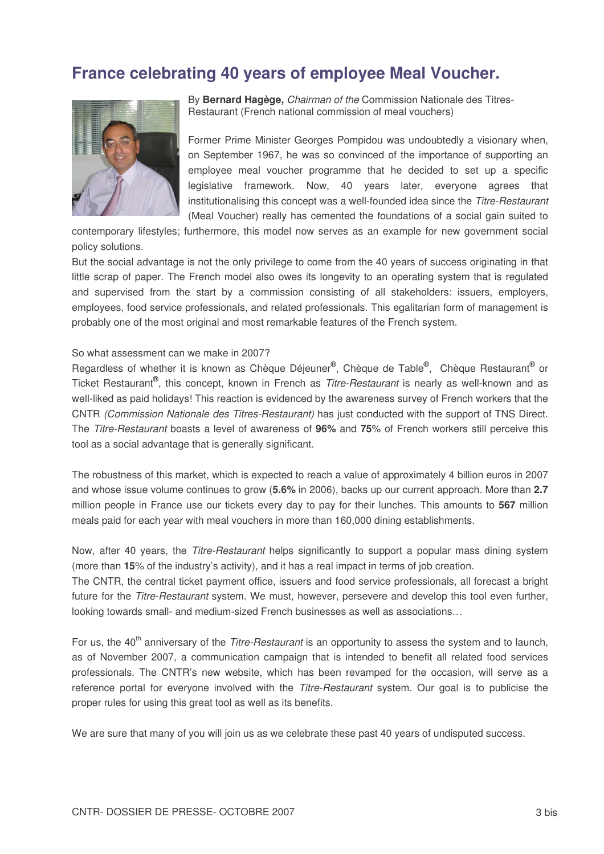## **France celebrating 40 years of employee Meal Voucher.**



By **Bernard Hagège,** *Chairman of the* Commission Nationale des Titres-Restaurant (French national commission of meal vouchers)

Former Prime Minister Georges Pompidou was undoubtedly a visionary when, on September 1967, he was so convinced of the importance of supporting an employee meal voucher programme that he decided to set up a specific legislative framework. Now, 40 years later, everyone agrees that institutionalising this concept was a well-founded idea since the *Titre-Restaurant* (Meal Voucher) really has cemented the foundations of a social gain suited to

contemporary lifestyles; furthermore, this model now serves as an example for new government social policy solutions.

But the social advantage is not the only privilege to come from the 40 years of success originating in that little scrap of paper. The French model also owes its longevity to an operating system that is regulated and supervised from the start by a commission consisting of all stakeholders: issuers, employers, employees, food service professionals, and related professionals. This egalitarian form of management is probably one of the most original and most remarkable features of the French system.

## So what assessment can we make in 2007?

Regardless of whether it is known as Chèque Déjeuner®, Chèque de Table®, Chèque Restaurant<sup>®</sup> or Ticket Restaurant **®** , this concept, known in French as *Titre-Restaurant* is nearly as well-known and as well-liked as paid holidays! This reaction is evidenced by the awareness survey of French workers that the CNTR *(Commission Nationale des Titres-Restaurant)* has just conducted with the support of TNS Direct. The *Titre-Restaurant* boasts a level of awareness of **96%** and **75**% of French workers still perceive this tool as a social advantage that is generally significant.

The robustness of this market, which is expected to reach a value of approximately 4 billion euros in 2007 and whose issue volume continues to grow (**5.6%** in 2006), backs up our current approach. More than **2.7** million people in France use our tickets every day to pay for their lunches. This amounts to **567** million meals paid for each year with meal vouchers in more than 160,000 dining establishments.

Now, after 40 years, the *Titre-Restaurant* helps significantly to support a popular mass dining system (more than **15**% of the industry's activity), and it has a real impact in terms of job creation.

The CNTR, the central ticket payment office, issuers and food service professionals, all forecast a bright future for the *Titre-Restaurant* system. We must, however, persevere and develop this tool even further, looking towards small- and medium-sized French businesses as well as associations…

For us, the 40<sup>th</sup> anniversary of the *Titre-Restaurant* is an opportunity to assess the system and to launch, as of November 2007, a communication campaign that is intended to benefit all related food services professionals. The CNTR's new website, which has been revamped for the occasion, will serve as a reference portal for everyone involved with the *Titre-Restaurant* system. Our goal is to publicise the proper rules for using this great tool as well as its benefits.

We are sure that many of you will join us as we celebrate these past 40 years of undisputed success.